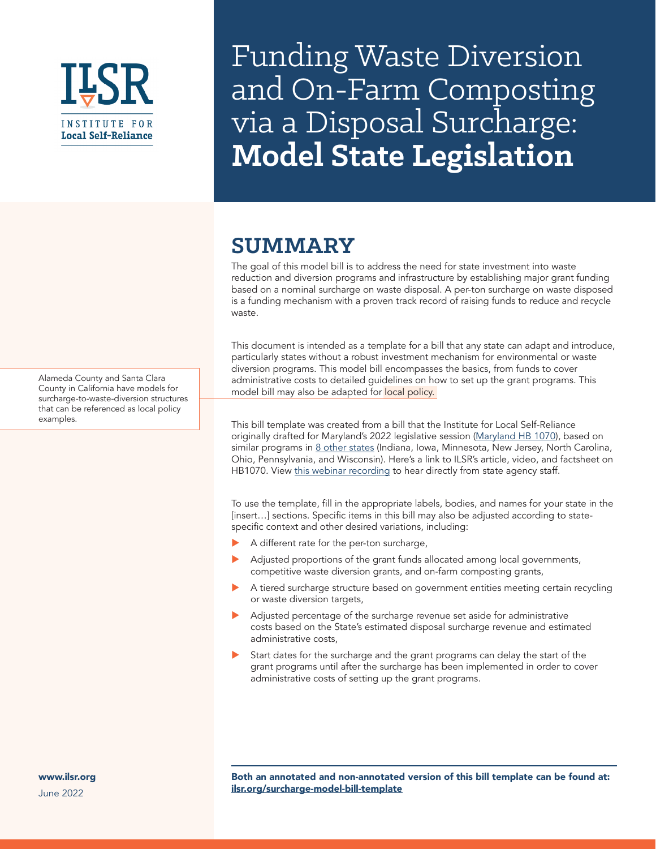

Funding Waste Diversion and On-Farm Composting via a Disposal Surcharge: **Model State Legislation**

# **SUMMARY**

The goal of this model bill is to address the need for state investment into waste reduction and diversion programs and infrastructure by establishing major grant funding based on a nominal surcharge on waste disposal. A per-ton surcharge on waste disposed is a funding mechanism with a proven track record of raising funds to reduce and recycle waste.

This document is intended as a template for a bill that any state can adapt and introduce, particularly states without a robust investment mechanism for environmental or waste diversion programs. This model bill encompasses the basics, from funds to cover administrative costs to detailed guidelines on how to set up the grant programs. This model bill may also be adapted for local policy.

This bill template was created from a bill that the Institute for Local Self-Reliance originally drafted for Maryland's 2022 legislative session [\(Maryland HB 1070\)](https://mgaleg.maryland.gov/mgawebsite/Legislation/Details/HB1070), based on similar programs in [8 other states](https://ilsr.org/rule/waste-surcharges/) (Indiana, Iowa, Minnesota, New Jersey, North Carolina, Ohio, Pennsylvania, and Wisconsin). [Here's a link](https://ilsr.org/maryland-hb1070/) to ILSR's article, video, and factsheet on HB1070. View [this webinar recording](https://ilsr.org/webinar-disposal-surcharges/) to hear directly from state agency staff.

To use the template, fill in the appropriate labels, bodies, and names for your state in the [insert...] sections. Specific items in this bill may also be adjusted according to statespecific context and other desired variations, including:

- A different rate for the per-ton surcharge,
- Adjusted proportions of the grant funds allocated among local governments, competitive waste diversion grants, and on-farm composting grants,
- A tiered surcharge structure based on government entities meeting certain recycling or waste diversion targets,
- Adjusted percentage of the surcharge revenue set aside for administrative costs based on the State's estimated disposal surcharge revenue and estimated administrative costs,
- Start dates for the surcharge and the grant programs can delay the start of the grant programs until after the surcharge has been implemented in order to cover administrative costs of setting up the grant programs.

Alameda County and Santa Clara County in California have models for surcharge-to-waste-diversion structures that can be referenced as local policy examples.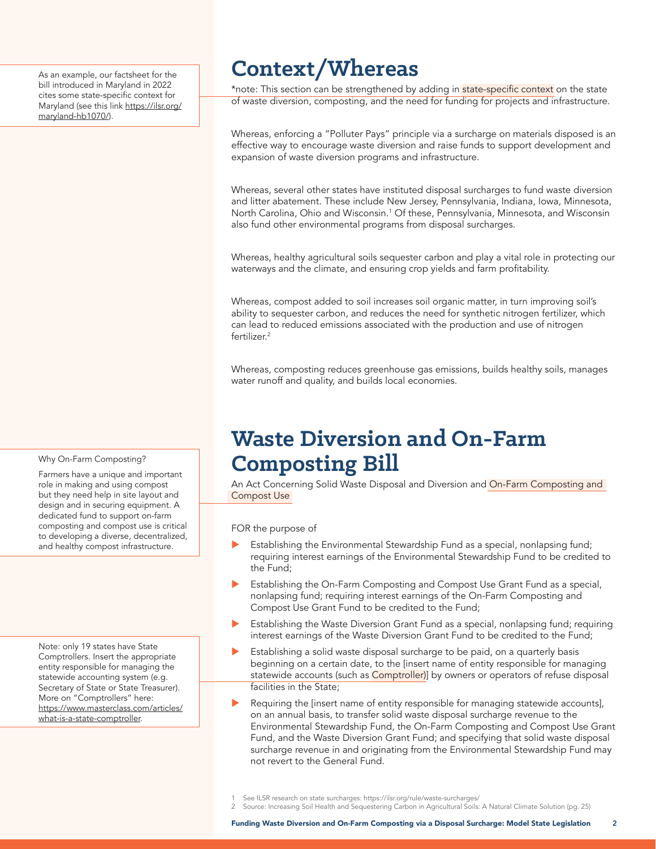As an example, our factsheet for the bill introduced in Maryland in 2022 cites some state-specific context for Maryland (see this link https://ilsr.org/ maryland-hb1070/).

#### Why On-Farm Composting?

Farmers have a unique and important role in making and using compost but they need help in site layout and design and in securing equipment. A dedicated fund to support on-farm composting and compost use is critical to developing a diverse, decentralized, and healthy compost infrastructure.

Note: only 19 states have State Comptrollers. Insert the appropriate entity responsible for managing the statewide accounting system (e.g. Secretary of State or State Treasurer). More on "Comptrollers" here: https://www.masterclass.com/articles/ what-is-a-state-comptroller.

# **Context/Whereas**

\*note: This section can be strengthened by adding in state-specific context on the state of waste diversion, composting, and the need for funding for projects and infrastructure.

Whereas, enforcing a "Polluter Pays" principle via a surcharge on materials disposed is an effective way to encourage waste diversion and raise funds to support development and expansion of waste diversion programs and infrastructure.

Whereas, several other states have instituted disposal surcharges to fund waste diversion and litter abatement. These include New Jersey, Pennsylvania, Indiana, Iowa, Minnesota, North Carolina, Ohio and Wisconsin.<sup>1</sup> Of these, Pennsylvania, Minnesota, and Wisconsin also fund other environmental programs from disposal surcharges.

Whereas, healthy agricultural soils sequester carbon and play a vital role in protecting our waterways and the climate, and ensuring crop yields and farm profitability.

Whereas, compost added to soil increases soil organic matter, in turn improving soil's ability to sequester carbon, and reduces the need for synthetic nitrogen fertilizer, which can lead to reduced emissions associated with the production and use of nitrogen fertilizer.<sup>2</sup>

Whereas, composting reduces greenhouse gas emissions, builds healthy soils, manages water runoff and quality, and builds local economies.

# **Waste Diversion and On-Farm Composting Bill**

An Act Concerning Solid Waste Disposal and Diversion and On-Farm Composting and Compost Use

FOR the purpose of

- Establishing the Environmental Stewardship Fund as a special, nonlapsing fund; requiring interest earnings of the Environmental Stewardship Fund to be credited to the Fund;
- Establishing the On-Farm Composting and Compost Use Grant Fund as a special, nonlapsing fund; requiring interest earnings of the On-Farm Composting and Compost Use Grant Fund to be credited to the Fund;
- Establishing the Waste Diversion Grant Fund as a special, nonlapsing fund; requiring interest earnings of the Waste Diversion Grant Fund to be credited to the Fund;
- Establishing a solid waste disposal surcharge to be paid, on a quarterly basis beginning on a certain date, to the [insert name of entity responsible for managing statewide accounts (such as Comptroller)] by owners or operators of refuse disposal facilities in the State;
- Requiring the [insert name of entity responsible for managing statewide accounts], on an annual basis, to transfer solid waste disposal surcharge revenue to the Environmental Stewardship Fund, the On-Farm Composting and Compost Use Grant Fund, and the Waste Diversion Grant Fund; and specifying that solid waste disposal surcharge revenue in and originating from the Environmental Stewardship Fund may not revert to the General Fund.

2 Source: [Increasing Soil Health and Sequestering Carbon in Agricultural Soils: A Natural Climate Solution](https://www.iwla.org/soils-agriculture/soilhealthreport) (pg. 25)

See ILSR research on state surcharges: <https://ilsr.org/rule/waste-surcharges/>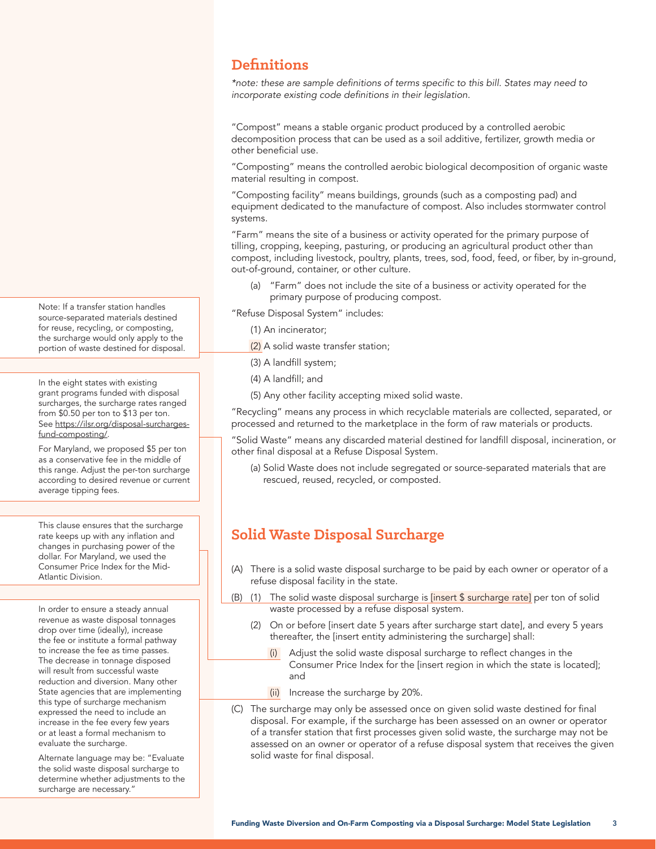#### **Definitions**

\*note: these are sample definitions of terms specific to this bill. States may need to incorporate existing code definitions in their legislation.

"Compost" means a stable organic product produced by a controlled aerobic decomposition process that can be used as a soil additive, fertilizer, growth media or other beneficial use.

"Composting" means the controlled aerobic biological decomposition of organic waste material resulting in compost.

"Composting facility" means buildings, grounds (such as a composting pad) and equipment dedicated to the manufacture of compost. Also includes stormwater control systems.

"Farm" means the site of a business or activity operated for the primary purpose of tilling, cropping, keeping, pasturing, or producing an agricultural product other than compost, including livestock, poultry, plants, trees, sod, food, feed, or fiber, by in-ground, out-of-ground, container, or other culture.

(a) "Farm" does not include the site of a business or activity operated for the primary purpose of producing compost.

"Refuse Disposal System" includes:

- (1) An incinerator;
- (2) A solid waste transfer station;
- (3) A landfill system;
- (4) A landfill; and
- (5) Any other facility accepting mixed solid waste.

"Recycling" means any process in which recyclable materials are collected, separated, or processed and returned to the marketplace in the form of raw materials or products.

"Solid Waste" means any discarded material destined for landfill disposal, incineration, or other final disposal at a Refuse Disposal System.

(a) Solid Waste does not include segregated or source-separated materials that are rescued, reused, recycled, or composted.

# **Solid Waste Disposal Surcharge**

- (A) There is a solid waste disposal surcharge to be paid by each owner or operator of a refuse disposal facility in the state.
- (B) (1) The solid waste disposal surcharge is [insert \$ surcharge rate] per ton of solid waste processed by a refuse disposal system.
	- (2) On or before [insert date 5 years after surcharge start date], and every 5 years thereafter, the [insert entity administering the surcharge] shall:
		- (i) Adjust the solid waste disposal surcharge to reflect changes in the Consumer Price Index for the [insert region in which the state is located]; and
		- (ii) Increase the surcharge by 20%.
- (C) The surcharge may only be assessed once on given solid waste destined for final disposal. For example, if the surcharge has been assessed on an owner or operator of a transfer station that first processes given solid waste, the surcharge may not be assessed on an owner or operator of a refuse disposal system that receives the given solid waste for final disposal.

Note: If a transfer station handles source-separated materials destined for reuse, recycling, or composting, the surcharge would only apply to the portion of waste destined for disposal.

In the eight states with existing grant programs funded with disposal surcharges, the surcharge rates ranged from \$0.50 per ton to \$13 per ton. See https://ilsr.org/disposal-surchargesfund-composting/.

For Maryland, we proposed \$5 per ton as a conservative fee in the middle of this range. Adjust the per-ton surcharge according to desired revenue or current average tipping fees.

This clause ensures that the surcharge rate keeps up with any inflation and changes in purchasing power of the dollar. For Maryland, we used the Consumer Price Index for the Mid-Atlantic Division.

In order to ensure a steady annual revenue as waste disposal tonnages drop over time (ideally), increase the fee or institute a formal pathway to increase the fee as time passes. The decrease in tonnage disposed will result from successful waste reduction and diversion. Many other State agencies that are implementing this type of surcharge mechanism expressed the need to include an increase in the fee every few years or at least a formal mechanism to evaluate the surcharge.

Alternate language may be: "Evaluate the solid waste disposal surcharge to determine whether adjustments to the surcharge are necessary."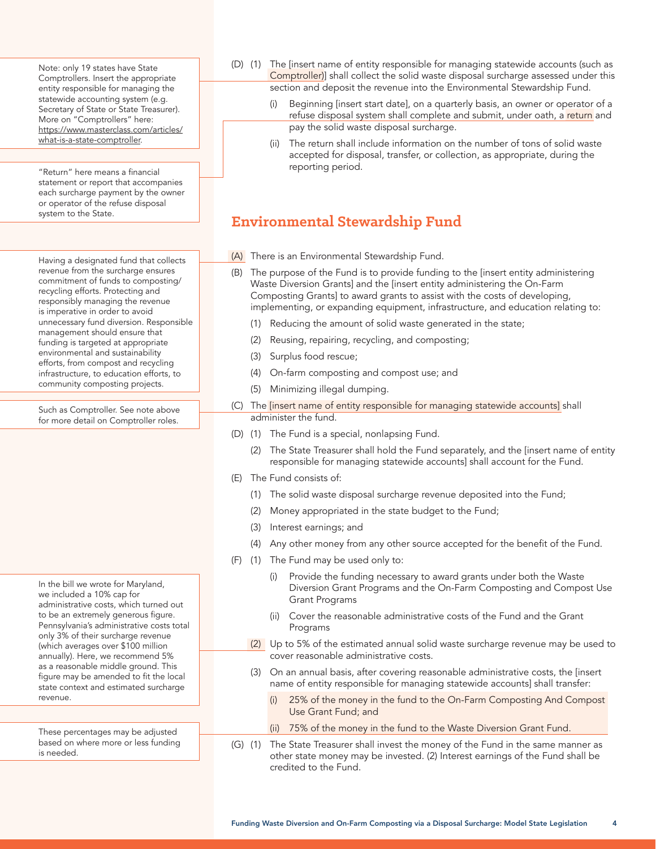Note: only 19 states have State Comptrollers. Insert the appropriate entity responsible for managing the statewide accounting system (e.g. Secretary of State or State Treasurer). More on "Comptrollers" here: https://www.masterclass.com/articles/ what-is-a-state-comptroller.

"Return" here means a financial statement or report that accompanies each surcharge payment by the owner or operator of the refuse disposal system to the State.

Having a designated fund that collects revenue from the surcharge ensures commitment of funds to composting/ recycling efforts. Protecting and responsibly managing the revenue is imperative in order to avoid unnecessary fund diversion. Responsible management should ensure that funding is targeted at appropriate environmental and sustainability efforts, from compost and recycling infrastructure, to education efforts, to community composting projects.

Such as Comptroller. See note above for more detail on Comptroller roles.

In the bill we wrote for Maryland, we included a 10% cap for administrative costs, which turned out to be an extremely generous figure. Pennsylvania's administrative costs total only 3% of their surcharge revenue (which averages over \$100 million annually). Here, we recommend 5% as a reasonable middle ground. This figure may be amended to fit the local state context and estimated surcharge revenue.

These percentages may be adjusted based on where more or less funding is needed.

- (D) (1) The [insert name of entity responsible for managing statewide accounts (such as Comptroller)] shall collect the solid waste disposal surcharge assessed under this section and deposit the revenue into the Environmental Stewardship Fund.
	- Beginning [insert start date], on a quarterly basis, an owner or operator of a refuse disposal system shall complete and submit, under oath, a return and pay the solid waste disposal surcharge.
	- (ii) The return shall include information on the number of tons of solid waste accepted for disposal, transfer, or collection, as appropriate, during the reporting period.

# **Environmental Stewardship Fund**

- (A) There is an Environmental Stewardship Fund.
- (B) The purpose of the Fund is to provide funding to the [insert entity administering Waste Diversion Grants] and the [insert entity administering the On-Farm Composting Grants] to award grants to assist with the costs of developing, implementing, or expanding equipment, infrastructure, and education relating to:
	- (1) Reducing the amount of solid waste generated in the state;
	- (2) Reusing, repairing, recycling, and composting;
	- (3) Surplus food rescue;
	- (4) On-farm composting and compost use; and
	- (5) Minimizing illegal dumping.
- (C) The [insert name of entity responsible for managing statewide accounts] shall administer the fund.
- (D) (1) The Fund is a special, nonlapsing Fund.
	- (2) The State Treasurer shall hold the Fund separately, and the [insert name of entity responsible for managing statewide accounts] shall account for the Fund.
- (E) The Fund consists of:
	- (1) The solid waste disposal surcharge revenue deposited into the Fund;
	- (2) Money appropriated in the state budget to the Fund;
	- (3) Interest earnings; and
	- (4) Any other money from any other source accepted for the benefit of the Fund.
- (F) (1) The Fund may be used only to:
	- Provide the funding necessary to award grants under both the Waste Diversion Grant Programs and the On-Farm Composting and Compost Use Grant Programs
	- (ii) Cover the reasonable administrative costs of the Fund and the Grant Programs
	- (2) Up to 5% of the estimated annual solid waste surcharge revenue may be used to cover reasonable administrative costs.
	- (3) On an annual basis, after covering reasonable administrative costs, the [insert name of entity responsible for managing statewide accounts] shall transfer:
		- (i) 25% of the money in the fund to the On-Farm Composting And Compost Use Grant Fund; and
		- (ii) 75% of the money in the fund to the Waste Diversion Grant Fund.
- (G) (1) The State Treasurer shall invest the money of the Fund in the same manner as other state money may be invested. (2) Interest earnings of the Fund shall be credited to the Fund.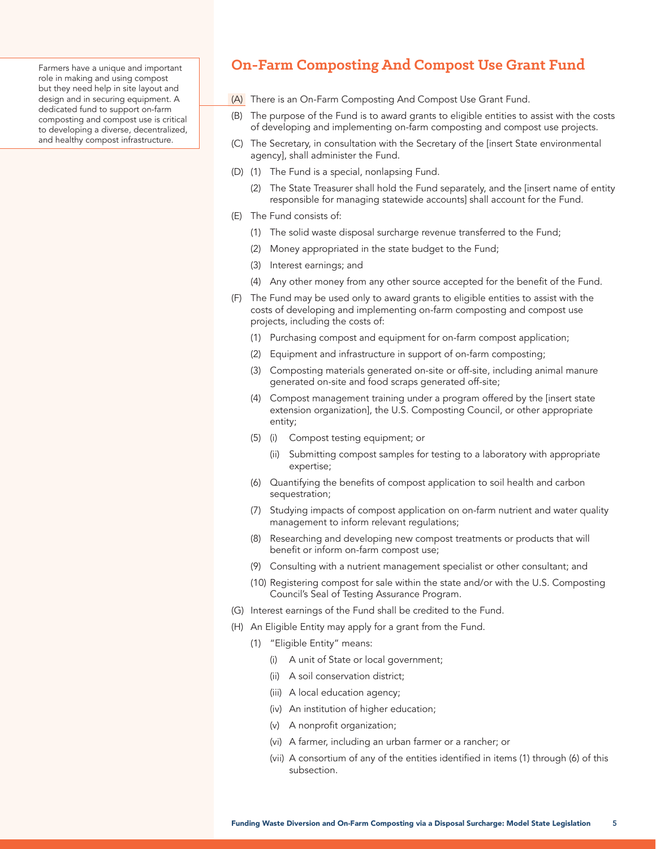Farmers have a unique and important role in making and using compost but they need help in site layout and design and in securing equipment. A dedicated fund to support on-farm composting and compost use is critical to developing a diverse, decentralized, and healthy compost infrastructure.

### **On-Farm Composting And Compost Use Grant Fund**

- (A) There is an On-Farm Composting And Compost Use Grant Fund.
- (B) The purpose of the Fund is to award grants to eligible entities to assist with the costs of developing and implementing on-farm composting and compost use projects.
- (C) The Secretary, in consultation with the Secretary of the [insert State environmental agency], shall administer the Fund.
- (D) (1) The Fund is a special, nonlapsing Fund.
	- (2) The State Treasurer shall hold the Fund separately, and the [insert name of entity responsible for managing statewide accounts] shall account for the Fund.
- (E) The Fund consists of:
	- (1) The solid waste disposal surcharge revenue transferred to the Fund;
	- (2) Money appropriated in the state budget to the Fund;
	- (3) Interest earnings; and
	- (4) Any other money from any other source accepted for the benefit of the Fund.
- (F) The Fund may be used only to award grants to eligible entities to assist with the costs of developing and implementing on-farm composting and compost use projects, including the costs of:
	- (1) Purchasing compost and equipment for on-farm compost application;
	- (2) Equipment and infrastructure in support of on-farm composting;
	- (3) Composting materials generated on-site or off-site, including animal manure generated on-site and food scraps generated off-site;
	- (4) Compost management training under a program offered by the [insert state extension organization], the U.S. Composting Council, or other appropriate entity;
	- (5) (i) Compost testing equipment; or
		- (ii) Submitting compost samples for testing to a laboratory with appropriate expertise;
	- (6) Quantifying the benefits of compost application to soil health and carbon sequestration;
	- (7) Studying impacts of compost application on on-farm nutrient and water quality management to inform relevant regulations;
	- (8) Researching and developing new compost treatments or products that will benefit or inform on-farm compost use;
	- (9) Consulting with a nutrient management specialist or other consultant; and
	- (10) Registering compost for sale within the state and/or with the U.S. Composting Council's Seal of Testing Assurance Program.
- (G) Interest earnings of the Fund shall be credited to the Fund.
- (H) An Eligible Entity may apply for a grant from the Fund.
	- (1) "Eligible Entity" means:
		- (i) A unit of State or local government;
		- (ii) A soil conservation district;
		- (iii) A local education agency;
		- (iv) An institution of higher education;
		- (v) A nonprofit organization;
		- (vi) A farmer, including an urban farmer or a rancher; or
		- (vii) A consortium of any of the entities identified in items (1) through (6) of this subsection.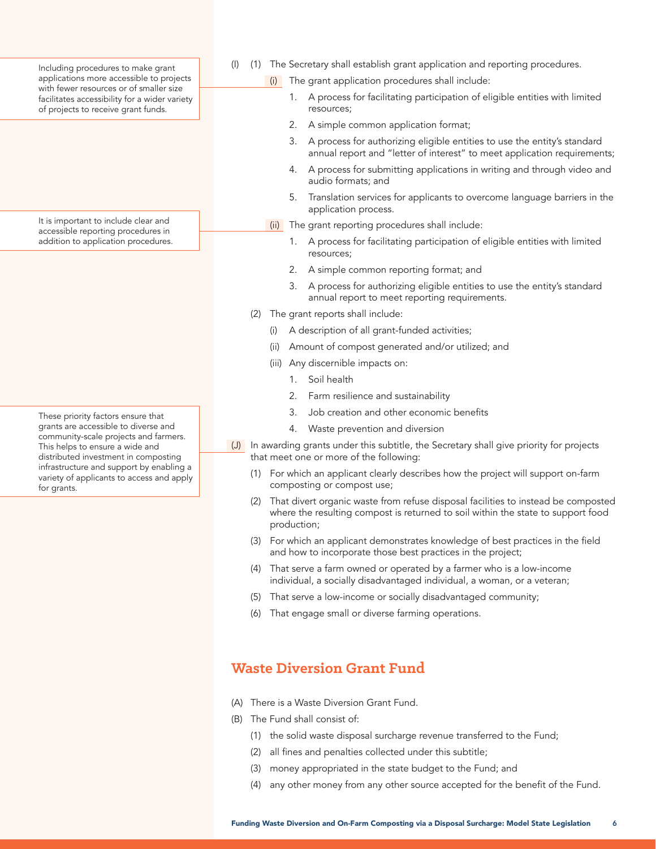Including procedures to make grant applications more accessible to projects with fewer resources or of smaller size facilitates accessibility for a wider variety of projects to receive grant funds.

It is important to include clear and accessible reporting procedures in addition to application procedures.

These priority factors ensure that grants are accessible to diverse and community-scale projects and farmers. This helps to ensure a wide and distributed investment in composting infrastructure and support by enabling a variety of applicants to access and apply for grants.

- (I) (1) The Secretary shall establish grant application and reporting procedures.
	- (i) The grant application procedures shall include:
		- 1. A process for facilitating participation of eligible entities with limited resources;
		- 2. A simple common application format;
		- 3. A process for authorizing eligible entities to use the entity's standard annual report and "letter of interest" to meet application requirements;
		- 4. A process for submitting applications in writing and through video and audio formats; and
		- 5. Translation services for applicants to overcome language barriers in the application process.
	- (ii) The grant reporting procedures shall include:
		- 1. A process for facilitating participation of eligible entities with limited resources;
		- 2. A simple common reporting format; and
		- 3. A process for authorizing eligible entities to use the entity's standard annual report to meet reporting requirements.
	- (2) The grant reports shall include:
		- (i) A description of all grant-funded activities;
		- (ii) Amount of compost generated and/or utilized; and
		- (iii) Any discernible impacts on:
			- 1. Soil health
			- 2. Farm resilience and sustainability
			- 3. Job creation and other economic benefits
			- 4. Waste prevention and diversion
- (J) In awarding grants under this subtitle, the Secretary shall give priority for projects that meet one or more of the following:
	- (1) For which an applicant clearly describes how the project will support on-farm composting or compost use;
	- (2) That divert organic waste from refuse disposal facilities to instead be composted where the resulting compost is returned to soil within the state to support food production;
	- (3) For which an applicant demonstrates knowledge of best practices in the field and how to incorporate those best practices in the project;
	- (4) That serve a farm owned or operated by a farmer who is a low-income individual, a socially disadvantaged individual, a woman, or a veteran;
	- (5) That serve a low-income or socially disadvantaged community;
	- (6) That engage small or diverse farming operations.

### **Waste Diversion Grant Fund**

- (A) There is a Waste Diversion Grant Fund.
- (B) The Fund shall consist of:
	- (1) the solid waste disposal surcharge revenue transferred to the Fund;
	- (2) all fines and penalties collected under this subtitle;
	- (3) money appropriated in the state budget to the Fund; and
	- (4) any other money from any other source accepted for the benefit of the Fund.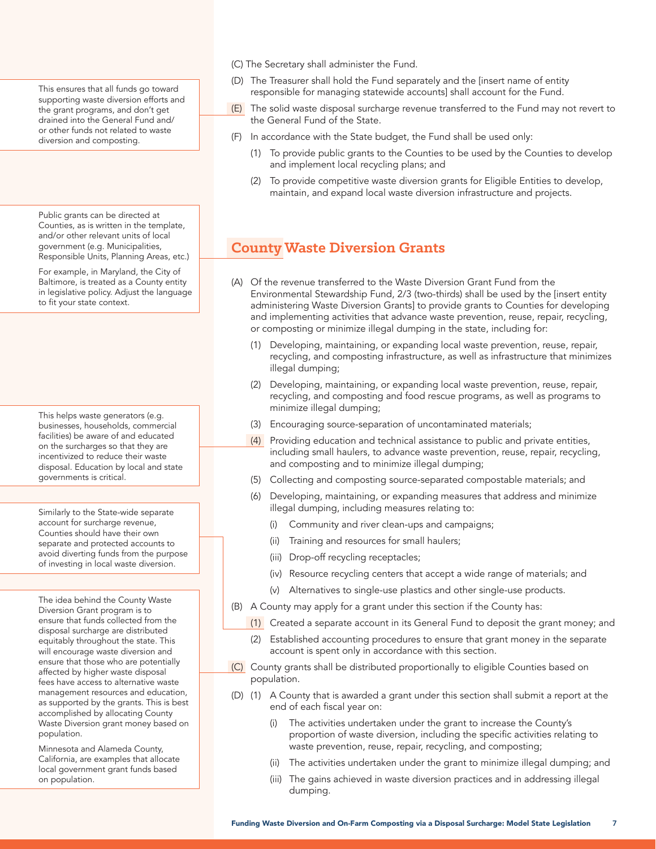This ensures that all funds go toward supporting waste diversion efforts and the grant programs, and don't get drained into the General Fund and/ or other funds not related to waste diversion and composting.

Public grants can be directed at Counties, as is written in the template, and/or other relevant units of local government (e.g. Municipalities, Responsible Units, Planning Areas, etc.)

For example, in Maryland, the City of Baltimore, is treated as a County entity in legislative policy. Adjust the language to fit your state context.

This helps waste generators (e.g. businesses, households, commercial facilities) be aware of and educated on the surcharges so that they are incentivized to reduce their waste disposal. Education by local and state governments is critical.

Similarly to the State-wide separate account for surcharge revenue, Counties should have their own separate and protected accounts to avoid diverting funds from the purpose of investing in local waste diversion.

The idea behind the County Waste Diversion Grant program is to ensure that funds collected from the disposal surcharge are distributed equitably throughout the state. This will encourage waste diversion and ensure that those who are potentially affected by higher waste disposal fees have access to alternative waste management resources and education, as supported by the grants. This is best accomplished by allocating County Waste Diversion grant money based on population.

Minnesota and Alameda County, California, are examples that allocate local government grant funds based on population.

- (C) The Secretary shall administer the Fund.
- (D) The Treasurer shall hold the Fund separately and the [insert name of entity responsible for managing statewide accounts] shall account for the Fund.
- (E) The solid waste disposal surcharge revenue transferred to the Fund may not revert to the General Fund of the State.
- (F) In accordance with the State budget, the Fund shall be used only:
	- (1) To provide public grants to the Counties to be used by the Counties to develop and implement local recycling plans; and
	- (2) To provide competitive waste diversion grants for Eligible Entities to develop, maintain, and expand local waste diversion infrastructure and projects.

### **County Waste Diversion Grants**

- (A) Of the revenue transferred to the Waste Diversion Grant Fund from the Environmental Stewardship Fund, 2/3 (two-thirds) shall be used by the [insert entity administering Waste Diversion Grants] to provide grants to Counties for developing and implementing activities that advance waste prevention, reuse, repair, recycling, or composting or minimize illegal dumping in the state, including for:
	- (1) Developing, maintaining, or expanding local waste prevention, reuse, repair, recycling, and composting infrastructure, as well as infrastructure that minimizes illegal dumping;
	- (2) Developing, maintaining, or expanding local waste prevention, reuse, repair, recycling, and composting and food rescue programs, as well as programs to minimize illegal dumping;
	- (3) Encouraging source-separation of uncontaminated materials;
	- (4) Providing education and technical assistance to public and private entities, including small haulers, to advance waste prevention, reuse, repair, recycling, and composting and to minimize illegal dumping;
	- (5) Collecting and composting source-separated compostable materials; and
	- (6) Developing, maintaining, or expanding measures that address and minimize illegal dumping, including measures relating to:
		- (i) Community and river clean-ups and campaigns;
		- (ii) Training and resources for small haulers;
		- (iii) Drop-off recycling receptacles;
		- (iv) Resource recycling centers that accept a wide range of materials; and
		- (v) Alternatives to single-use plastics and other single-use products.
- (B) A County may apply for a grant under this section if the County has:
	- (1) Created a separate account in its General Fund to deposit the grant money; and
	- (2) Established accounting procedures to ensure that grant money in the separate account is spent only in accordance with this section.
- (C) County grants shall be distributed proportionally to eligible Counties based on population.
- (D) (1) A County that is awarded a grant under this section shall submit a report at the end of each fiscal year on:
	- (i) The activities undertaken under the grant to increase the County's proportion of waste diversion, including the specific activities relating to waste prevention, reuse, repair, recycling, and composting;
	- (ii) The activities undertaken under the grant to minimize illegal dumping; and
	- (iii) The gains achieved in waste diversion practices and in addressing illegal dumping.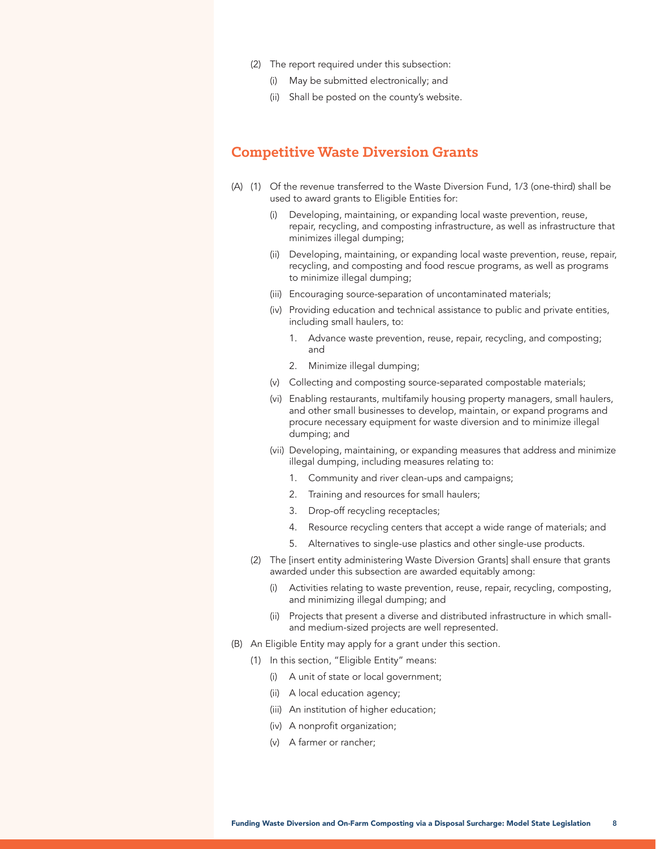- (2) The report required under this subsection:
	- (i) May be submitted electronically; and
	- (ii) Shall be posted on the county's website.

#### **Competitive Waste Diversion Grants**

- (A) (1) Of the revenue transferred to the Waste Diversion Fund, 1/3 (one-third) shall be used to award grants to Eligible Entities for:
	- (i) Developing, maintaining, or expanding local waste prevention, reuse, repair, recycling, and composting infrastructure, as well as infrastructure that minimizes illegal dumping;
	- (ii) Developing, maintaining, or expanding local waste prevention, reuse, repair, recycling, and composting and food rescue programs, as well as programs to minimize illegal dumping;
	- (iii) Encouraging source-separation of uncontaminated materials;
	- (iv) Providing education and technical assistance to public and private entities, including small haulers, to:
		- 1. Advance waste prevention, reuse, repair, recycling, and composting; and
		- 2. Minimize illegal dumping;
	- (v) Collecting and composting source-separated compostable materials;
	- (vi) Enabling restaurants, multifamily housing property managers, small haulers, and other small businesses to develop, maintain, or expand programs and procure necessary equipment for waste diversion and to minimize illegal dumping; and
	- (vii) Developing, maintaining, or expanding measures that address and minimize illegal dumping, including measures relating to:
		- 1. Community and river clean-ups and campaigns;
		- 2. Training and resources for small haulers;
		- 3. Drop-off recycling receptacles;
		- 4. Resource recycling centers that accept a wide range of materials; and
		- 5. Alternatives to single-use plastics and other single-use products.
	- (2) The [insert entity administering Waste Diversion Grants] shall ensure that grants awarded under this subsection are awarded equitably among:
		- (i) Activities relating to waste prevention, reuse, repair, recycling, composting, and minimizing illegal dumping; and
		- (ii) Projects that present a diverse and distributed infrastructure in which smalland medium-sized projects are well represented.
- (B) An Eligible Entity may apply for a grant under this section.
	- (1) In this section, "Eligible Entity" means:
		- (i) A unit of state or local government;
		- (ii) A local education agency;
		- (iii) An institution of higher education;
		- (iv) A nonprofit organization;
		- (v) A farmer or rancher;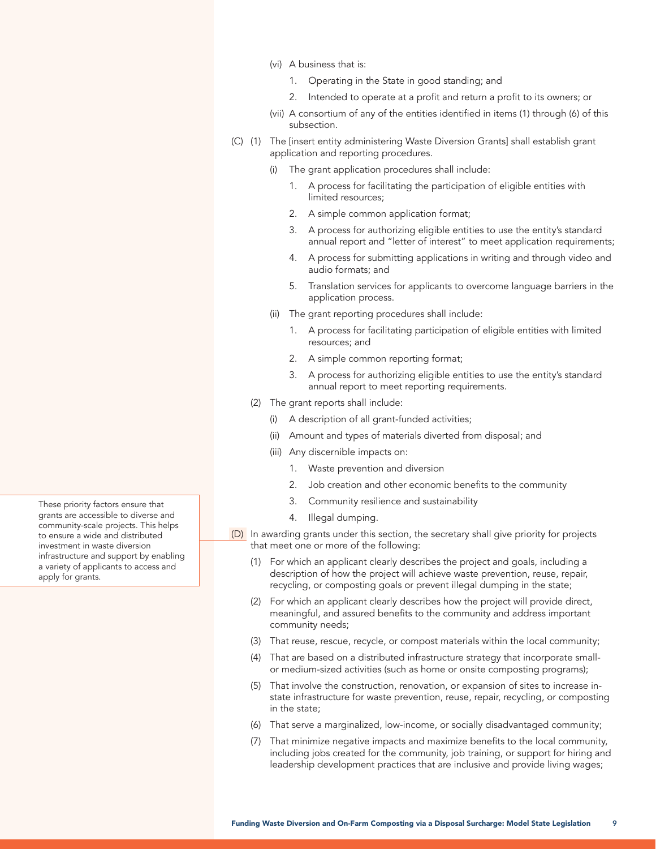- (vi) A business that is:
	- 1. Operating in the State in good standing; and
	- 2. Intended to operate at a profit and return a profit to its owners; or
- (vii) A consortium of any of the entities identified in items (1) through (6) of this subsection.
- (C) (1) The [insert entity administering Waste Diversion Grants] shall establish grant application and reporting procedures.
	- The grant application procedures shall include:
		- 1. A process for facilitating the participation of eligible entities with limited resources;
		- 2. A simple common application format;
		- 3. A process for authorizing eligible entities to use the entity's standard annual report and "letter of interest" to meet application requirements;
		- 4. A process for submitting applications in writing and through video and audio formats; and
		- 5. Translation services for applicants to overcome language barriers in the application process.
	- (ii) The grant reporting procedures shall include:
		- 1. A process for facilitating participation of eligible entities with limited resources; and
		- 2. A simple common reporting format;
		- 3. A process for authorizing eligible entities to use the entity's standard annual report to meet reporting requirements.
	- (2) The grant reports shall include:
		- (i) A description of all grant-funded activities;
		- (ii) Amount and types of materials diverted from disposal; and
		- (iii) Any discernible impacts on:
			- 1. Waste prevention and diversion
			- 2. Job creation and other economic benefits to the community
			- 3. Community resilience and sustainability
			- 4. Illegal dumping.
- (D) In awarding grants under this section, the secretary shall give priority for projects that meet one or more of the following:
	- (1) For which an applicant clearly describes the project and goals, including a description of how the project will achieve waste prevention, reuse, repair, recycling, or composting goals or prevent illegal dumping in the state;
	- (2) For which an applicant clearly describes how the project will provide direct, meaningful, and assured benefits to the community and address important community needs;
	- (3) That reuse, rescue, recycle, or compost materials within the local community;
	- (4) That are based on a distributed infrastructure strategy that incorporate smallor medium-sized activities (such as home or onsite composting programs);
	- (5) That involve the construction, renovation, or expansion of sites to increase instate infrastructure for waste prevention, reuse, repair, recycling, or composting in the state;
	- (6) That serve a marginalized, low-income, or socially disadvantaged community;
	- (7) That minimize negative impacts and maximize benefits to the local community, including jobs created for the community, job training, or support for hiring and leadership development practices that are inclusive and provide living wages;

These priority factors ensure that grants are accessible to diverse and community-scale projects. This helps to ensure a wide and distributed investment in waste diversion infrastructure and support by enabling a variety of applicants to access and apply for grants.